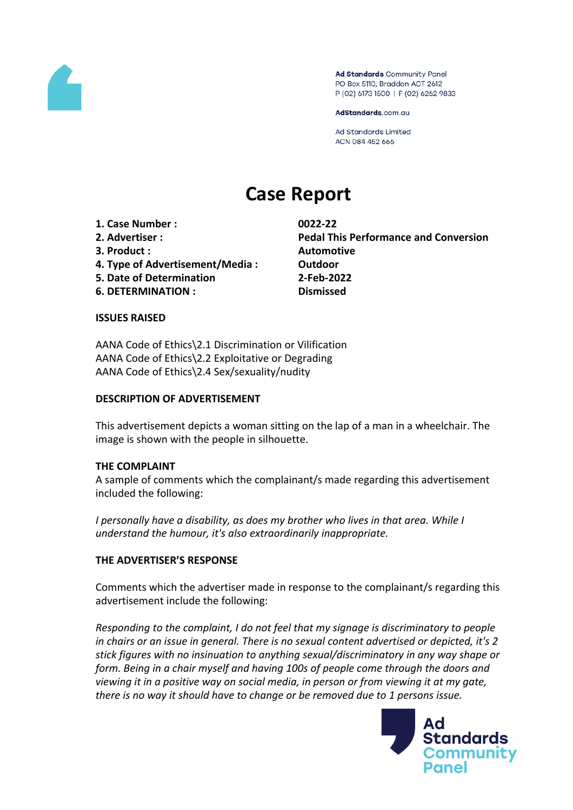

Ad Standards Community Panel PO Box 5110, Braddon ACT 2612 P (02) 6173 1500 | F (02) 6262 9833

AdStandards.com.au

**Ad Standards Limited** ACN 084 452 666

# **Case Report**

**1. Case Number : 0022-22**

- 
- **3. Product : Automotive**
- **4. Type of Advertisement/Media : Outdoor**
- **5. Date of Determination 2-Feb-2022**
- **6. DETERMINATION : Dismissed**

**2. Advertiser : Pedal This Performance and Conversion**

## **ISSUES RAISED**

AANA Code of Ethics\2.1 Discrimination or Vilification AANA Code of Ethics\2.2 Exploitative or Degrading AANA Code of Ethics\2.4 Sex/sexuality/nudity

# **DESCRIPTION OF ADVERTISEMENT**

This advertisement depicts a woman sitting on the lap of a man in a wheelchair. The image is shown with the people in silhouette.

## **THE COMPLAINT**

A sample of comments which the complainant/s made regarding this advertisement included the following:

*I personally have a disability, as does my brother who lives in that area. While I understand the humour, it's also extraordinarily inappropriate.*

# **THE ADVERTISER'S RESPONSE**

Comments which the advertiser made in response to the complainant/s regarding this advertisement include the following:

*Responding to the complaint, I do not feel that my signage is discriminatory to people in chairs or an issue in general. There is no sexual content advertised or depicted, it's 2 stick figures with no insinuation to anything sexual/discriminatory in any way shape or form. Being in a chair myself and having 100s of people come through the doors and viewing it in a positive way on social media, in person or from viewing it at my gate, there is no way it should have to change or be removed due to 1 persons issue.*

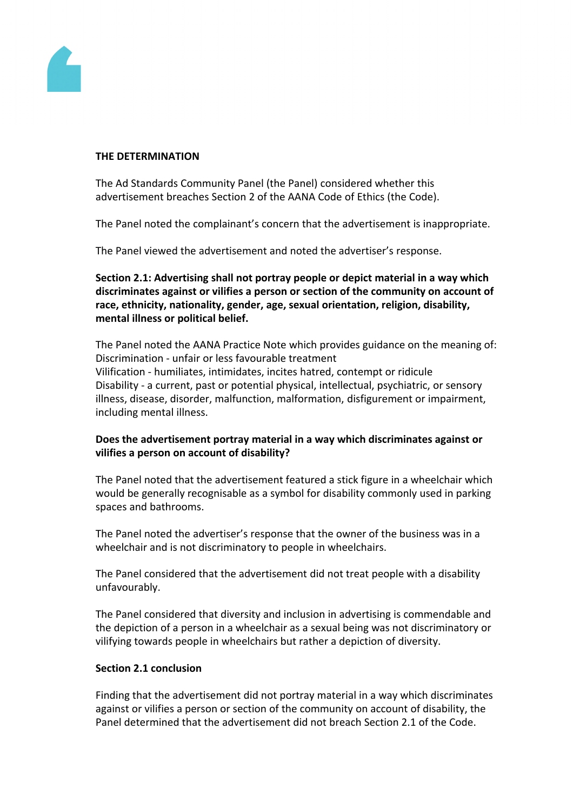

### **THE DETERMINATION**

The Ad Standards Community Panel (the Panel) considered whether this advertisement breaches Section 2 of the AANA Code of Ethics (the Code).

The Panel noted the complainant's concern that the advertisement is inappropriate.

The Panel viewed the advertisement and noted the advertiser's response.

**Section 2.1: Advertising shall not portray people or depict material in a way which discriminates against or vilifies a person or section of the community on account of race, ethnicity, nationality, gender, age, sexual orientation, religion, disability, mental illness or political belief.**

The Panel noted the AANA Practice Note which provides guidance on the meaning of: Discrimination - unfair or less favourable treatment Vilification - humiliates, intimidates, incites hatred, contempt or ridicule Disability - a current, past or potential physical, intellectual, psychiatric, or sensory illness, disease, disorder, malfunction, malformation, disfigurement or impairment, including mental illness.

# **Does the advertisement portray material in a way which discriminates against or vilifies a person on account of disability?**

The Panel noted that the advertisement featured a stick figure in a wheelchair which would be generally recognisable as a symbol for disability commonly used in parking spaces and bathrooms.

The Panel noted the advertiser's response that the owner of the business was in a wheelchair and is not discriminatory to people in wheelchairs.

The Panel considered that the advertisement did not treat people with a disability unfavourably.

The Panel considered that diversity and inclusion in advertising is commendable and the depiction of a person in a wheelchair as a sexual being was not discriminatory or vilifying towards people in wheelchairs but rather a depiction of diversity.

# **Section 2.1 conclusion**

Finding that the advertisement did not portray material in a way which discriminates against or vilifies a person or section of the community on account of disability, the Panel determined that the advertisement did not breach Section 2.1 of the Code.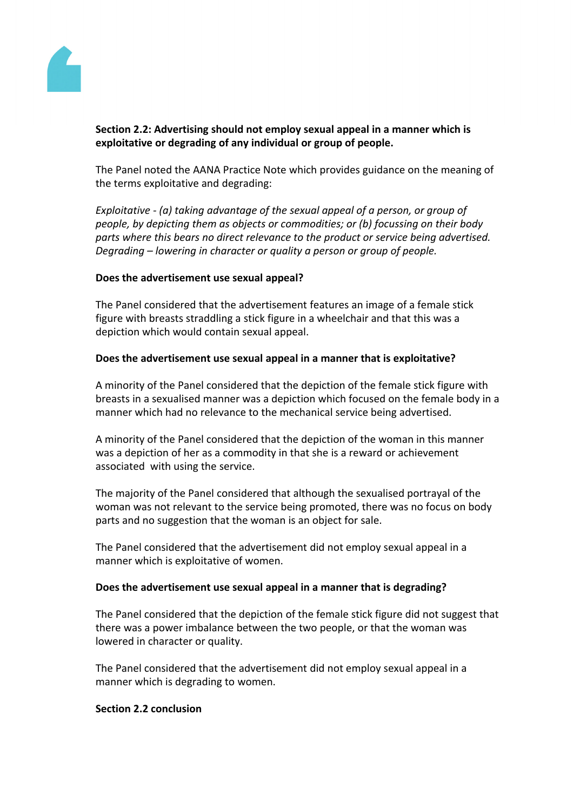

# **Section 2.2: Advertising should not employ sexual appeal in a manner which is exploitative or degrading of any individual or group of people.**

The Panel noted the AANA Practice Note which provides guidance on the meaning of the terms exploitative and degrading:

*Exploitative - (a) taking advantage of the sexual appeal of a person, or group of people, by depicting them as objects or commodities; or (b) focussing on their body parts where this bears no direct relevance to the product or service being advertised. Degrading – lowering in character or quality a person or group of people.*

## **Does the advertisement use sexual appeal?**

The Panel considered that the advertisement features an image of a female stick figure with breasts straddling a stick figure in a wheelchair and that this was a depiction which would contain sexual appeal.

#### **Does the advertisement use sexual appeal in a manner that is exploitative?**

A minority of the Panel considered that the depiction of the female stick figure with breasts in a sexualised manner was a depiction which focused on the female body in a manner which had no relevance to the mechanical service being advertised.

A minority of the Panel considered that the depiction of the woman in this manner was a depiction of her as a commodity in that she is a reward or achievement associated with using the service.

The majority of the Panel considered that although the sexualised portrayal of the woman was not relevant to the service being promoted, there was no focus on body parts and no suggestion that the woman is an object for sale.

The Panel considered that the advertisement did not employ sexual appeal in a manner which is exploitative of women.

#### **Does the advertisement use sexual appeal in a manner that is degrading?**

The Panel considered that the depiction of the female stick figure did not suggest that there was a power imbalance between the two people, or that the woman was lowered in character or quality.

The Panel considered that the advertisement did not employ sexual appeal in a manner which is degrading to women.

#### **Section 2.2 conclusion**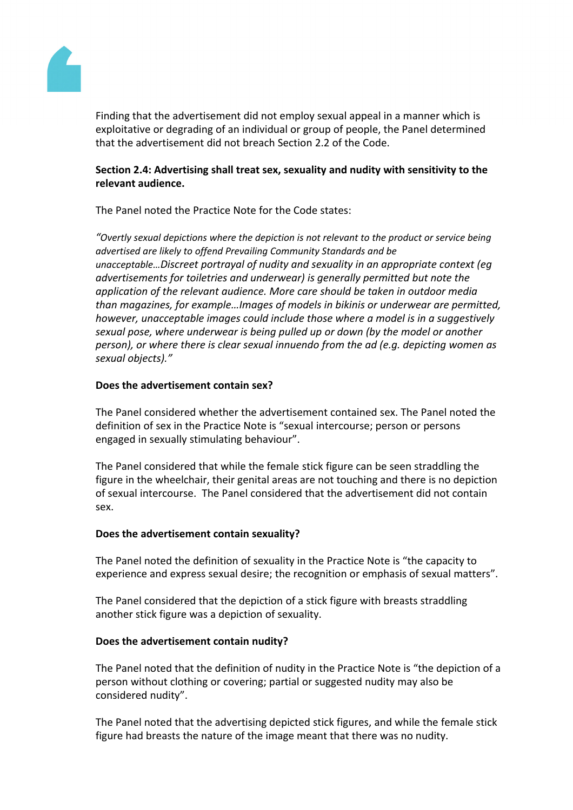

Finding that the advertisement did not employ sexual appeal in a manner which is exploitative or degrading of an individual or group of people, the Panel determined that the advertisement did not breach Section 2.2 of the Code.

# **Section 2.4: Advertising shall treat sex, sexuality and nudity with sensitivity to the relevant audience.**

The Panel noted the Practice Note for the Code states:

*"Overtly sexual depictions where the depiction is not relevant to the product or service being advertised are likely to offend Prevailing Community Standards and be unacceptable…Discreet portrayal of nudity and sexuality in an appropriate context (eg advertisements for toiletries and underwear) is generally permitted but note the application of the relevant audience. More care should be taken in outdoor media than magazines, for example…Images of models in bikinis or underwear are permitted, however, unacceptable images could include those where a model is in a suggestively sexual pose, where underwear is being pulled up or down (by the model or another person), or where there is clear sexual innuendo from the ad (e.g. depicting women as sexual objects)."*

# **Does the advertisement contain sex?**

The Panel considered whether the advertisement contained sex. The Panel noted the definition of sex in the Practice Note is "sexual intercourse; person or persons engaged in sexually stimulating behaviour".

The Panel considered that while the female stick figure can be seen straddling the figure in the wheelchair, their genital areas are not touching and there is no depiction of sexual intercourse. The Panel considered that the advertisement did not contain sex.

## **Does the advertisement contain sexuality?**

The Panel noted the definition of sexuality in the Practice Note is "the capacity to experience and express sexual desire; the recognition or emphasis of sexual matters".

The Panel considered that the depiction of a stick figure with breasts straddling another stick figure was a depiction of sexuality.

## **Does the advertisement contain nudity?**

The Panel noted that the definition of nudity in the Practice Note is "the depiction of a person without clothing or covering; partial or suggested nudity may also be considered nudity".

The Panel noted that the advertising depicted stick figures, and while the female stick figure had breasts the nature of the image meant that there was no nudity.